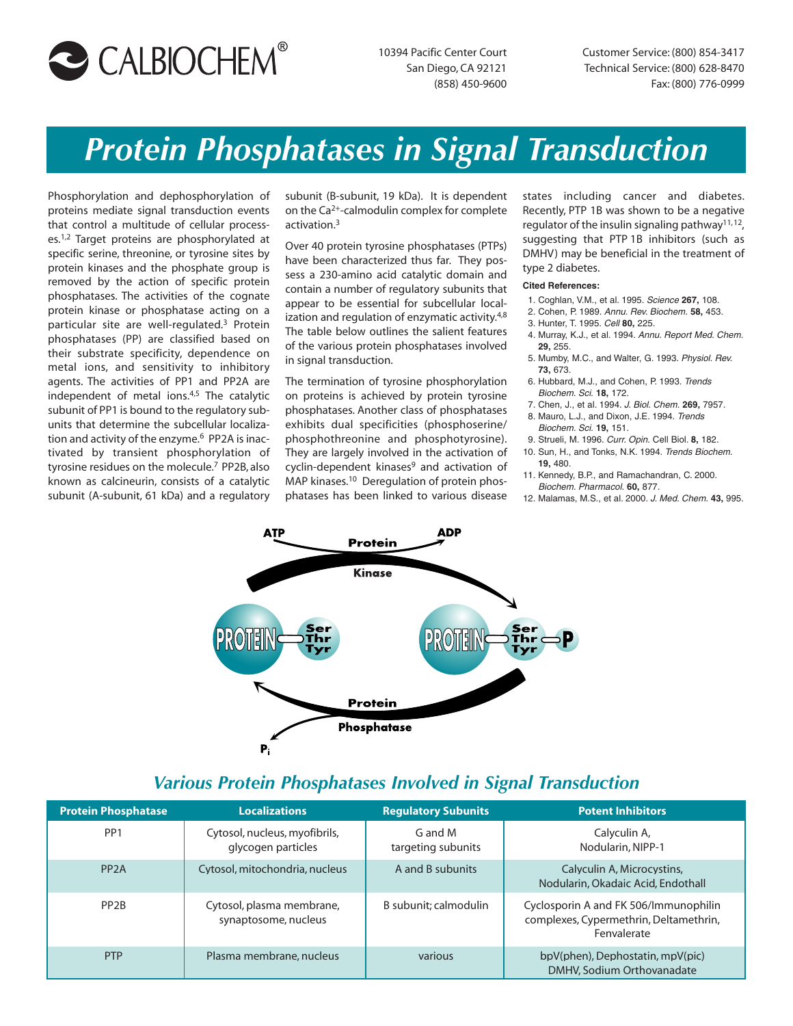

10394 Pacific Center Court San Diego, CA 92121 (858) 450-9600

Customer Service: (800) 854-3417 Technical Service: (800) 628-8470 Fax: (800) 776-0999

# *Protein Phosphatases in Signal Transduction*

Phosphorylation and dephosphorylation of proteins mediate signal transduction events that control a multitude of cellular processes.<sup>1,2</sup> Target proteins are phosphorylated at specific serine, threonine, or tyrosine sites by protein kinases and the phosphate group is removed by the action of specific protein phosphatases. The activities of the cognate protein kinase or phosphatase acting on a particular site are well-regulated.3 Protein phosphatases (PP) are classified based on their substrate specificity, dependence on metal ions, and sensitivity to inhibitory agents. The activities of PP1 and PP2A are independent of metal ions.<sup>4,5</sup> The catalytic subunit of PP1 is bound to the regulatory subunits that determine the subcellular localization and activity of the enzyme.<sup>6</sup> PP2A is inactivated by transient phosphorylation of tyrosine residues on the molecule.<sup>7</sup> PP2B, also known as calcineurin, consists of a catalytic subunit (A-subunit, 61 kDa) and a regulatory

subunit (B-subunit, 19 kDa). It is dependent on the Ca2+-calmodulin complex for complete activation.3

Over 40 protein tyrosine phosphatases (PTPs) have been characterized thus far. They possess a 230-amino acid catalytic domain and contain a number of regulatory subunits that appear to be essential for subcellular localization and regulation of enzymatic activity.<sup>4,8</sup> The table below outlines the salient features of the various protein phosphatases involved in signal transduction.

The termination of tyrosine phosphorylation on proteins is achieved by protein tyrosine phosphatases. Another class of phosphatases exhibits dual specificities (phosphoserine/ phosphothreonine and phosphotyrosine). They are largely involved in the activation of cyclin-dependent kinases<sup>9</sup> and activation of MAP kinases.<sup>10</sup> Deregulation of protein phosphatases has been linked to various disease states including cancer and diabetes. Recently, PTP 1B was shown to be a negative regulator of the insulin signaling pathway11,12, suggesting that PTP 1B inhibitors (such as DMHV) may be beneficial in the treatment of type 2 diabetes.

#### **Cited References:**

- 1. Coghlan, V.M., et al. 1995. Science **267,** 108.
- 2. Cohen, P. 1989. Annu. Rev. Biochem. **58,** 453.
- 3. Hunter, T. 1995. Cell **80,** 225.
- 4. Murray, K.J., et al. 1994. Annu. Report Med. Chem. **29,** 255.
- 5. Mumby, M.C., and Walter, G. 1993. Physiol. Rev. **73,** 673.
- 6. Hubbard, M.J., and Cohen, P. 1993. Trends Biochem. Sci. **18,** 172.
- 7. Chen, J., et al. 1994. J. Biol. Chem. **269,** 7957. 8. Mauro, L.J., and Dixon, J.E. 1994. Trends
- Biochem. Sci. **19,** 151.
- 9. Strueli, M. 1996. Curr. Opin. Cell Biol. **8,** 182.
- 10. Sun, H., and Tonks, N.K. 1994. Trends Biochem. **19,** 480.
- 11. Kennedy, B.P., and Ramachandran, C. 2000. Biochem. Pharmacol. **60,** 877.
- 12. Malamas, M.S., et al. 2000. J. Med. Chem. **43,** 995.



### *Various Protein Phosphatases Involved in Signal Transduction*

| <b>Protein Phosphatase</b> | <b>Localizations</b>                                | <b>Regulatory Subunits</b>    | <b>Potent Inhibitors</b>                                                                       |
|----------------------------|-----------------------------------------------------|-------------------------------|------------------------------------------------------------------------------------------------|
| PP <sub>1</sub>            | Cytosol, nucleus, myofibrils,<br>glycogen particles | G and M<br>targeting subunits | Calyculin A,<br>Nodularin, NIPP-1                                                              |
| PP <sub>2</sub> A          | Cytosol, mitochondria, nucleus                      | A and B subunits              | Calvculin A. Microcystins.<br>Nodularin, Okadaic Acid, Endothall                               |
| PP <sub>2</sub> B          | Cytosol, plasma membrane,<br>synaptosome, nucleus   | B subunit: calmodulin         | Cyclosporin A and FK 506/Immunophilin<br>complexes, Cypermethrin, Deltamethrin,<br>Fenvalerate |
| <b>PTP</b>                 | Plasma membrane, nucleus                            | various                       | bpV(phen), Dephostatin, mpV(pic)<br>DMHV, Sodium Orthovanadate                                 |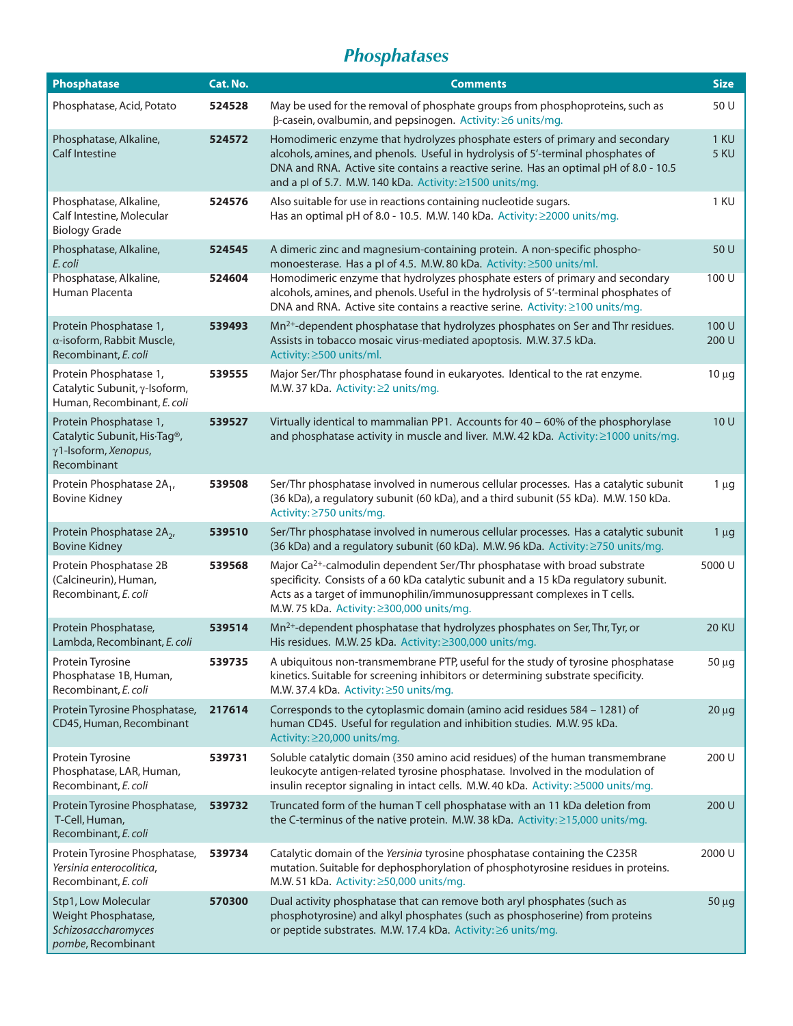# *Phosphatases*

| <b>Phosphatase</b>                                                                                         | Cat. No. | <b>Comments</b>                                                                                                                                                                                                                                                                                                      | <b>Size</b>    |
|------------------------------------------------------------------------------------------------------------|----------|----------------------------------------------------------------------------------------------------------------------------------------------------------------------------------------------------------------------------------------------------------------------------------------------------------------------|----------------|
| Phosphatase, Acid, Potato                                                                                  | 524528   | May be used for the removal of phosphate groups from phosphoproteins, such as<br>β-casein, ovalbumin, and pepsinogen. Activity: ≥6 units/mg.                                                                                                                                                                         | 50 U           |
| Phosphatase, Alkaline,<br><b>Calf Intestine</b>                                                            | 524572   | Homodimeric enzyme that hydrolyzes phosphate esters of primary and secondary<br>alcohols, amines, and phenols. Useful in hydrolysis of 5'-terminal phosphates of<br>DNA and RNA. Active site contains a reactive serine. Has an optimal pH of 8.0 - 10.5<br>and a pl of 5.7. M.W. 140 kDa. Activity: ≥1500 units/mg. | 1 KU<br>5 KU   |
| Phosphatase, Alkaline,<br>Calf Intestine, Molecular<br><b>Biology Grade</b>                                | 524576   | Also suitable for use in reactions containing nucleotide sugars.<br>Has an optimal pH of 8.0 - 10.5. M.W. 140 kDa. Activity: ≥2000 units/mg.                                                                                                                                                                         | 1 KU           |
| Phosphatase, Alkaline,<br>E. coli                                                                          | 524545   | A dimeric zinc and magnesium-containing protein. A non-specific phospho-<br>monoesterase. Has a pl of 4.5. M.W.80 kDa. Activity: ≥500 units/ml.                                                                                                                                                                      | 50 U           |
| Phosphatase, Alkaline,<br>Human Placenta                                                                   | 524604   | Homodimeric enzyme that hydrolyzes phosphate esters of primary and secondary<br>alcohols, amines, and phenols. Useful in the hydrolysis of 5'-terminal phosphates of<br>DNA and RNA. Active site contains a reactive serine. Activity: ≥100 units/mg.                                                                | 100 U          |
| Protein Phosphatase 1,<br>$\alpha$ -isoform, Rabbit Muscle,<br>Recombinant, E. coli                        | 539493   | Mn <sup>2+</sup> -dependent phosphatase that hydrolyzes phosphates on Ser and Thr residues.<br>Assists in tobacco mosaic virus-mediated apoptosis. M.W. 37.5 kDa.<br>Activity: ≥500 units/ml.                                                                                                                        | 100 U<br>200 U |
| Protein Phosphatase 1,<br>Catalytic Subunit, γ-Isoform,<br>Human, Recombinant, E. coli                     | 539555   | Major Ser/Thr phosphatase found in eukaryotes. Identical to the rat enzyme.<br>M.W. 37 kDa. Activity: ≥2 units/mg.                                                                                                                                                                                                   | $10 \mu g$     |
| Protein Phosphatase 1,<br>Catalytic Subunit, His-Tag <sup>®</sup> ,<br>γ1-Isoform, Xenopus,<br>Recombinant | 539527   | Virtually identical to mammalian PP1. Accounts for 40 - 60% of the phosphorylase<br>and phosphatase activity in muscle and liver. M.W. 42 kDa. Activity: ≥1000 units/mg.                                                                                                                                             | 10 U           |
| Protein Phosphatase 2A <sub>1</sub> ,<br><b>Bovine Kidney</b>                                              | 539508   | Ser/Thr phosphatase involved in numerous cellular processes. Has a catalytic subunit<br>(36 kDa), a regulatory subunit (60 kDa), and a third subunit (55 kDa). M.W. 150 kDa.<br>Activity: ≥750 units/mg.                                                                                                             | $1 \mu g$      |
| Protein Phosphatase 2A <sub>2</sub> ,<br><b>Bovine Kidney</b>                                              | 539510   | Ser/Thr phosphatase involved in numerous cellular processes. Has a catalytic subunit<br>(36 kDa) and a regulatory subunit (60 kDa). M.W. 96 kDa. Activity: ≥750 units/mg.                                                                                                                                            | $1 \mu g$      |
| Protein Phosphatase 2B<br>(Calcineurin), Human,<br>Recombinant, E. coli                                    | 539568   | Major Ca <sup>2+</sup> -calmodulin dependent Ser/Thr phosphatase with broad substrate<br>specificity. Consists of a 60 kDa catalytic subunit and a 15 kDa regulatory subunit.<br>Acts as a target of immunophilin/immunosuppressant complexes in T cells.<br>M.W. 75 kDa. Activity: ≥300,000 units/mg.               | 5000 U         |
| Protein Phosphatase,<br>Lambda, Recombinant, E. coli                                                       | 539514   | Mn <sup>2+</sup> -dependent phosphatase that hydrolyzes phosphates on Ser, Thr, Tyr, or<br>His residues. M.W. 25 kDa. Activity: ≥300,000 units/mg.                                                                                                                                                                   | <b>20 KU</b>   |
| Protein Tyrosine<br>Phosphatase 1B, Human,<br>Recombinant, E. coli                                         | 539735   | A ubiquitous non-transmembrane PTP, useful for the study of tyrosine phosphatase<br>kinetics. Suitable for screening inhibitors or determining substrate specificity.<br>M.W. 37.4 kDa. Activity: ≥50 units/mg.                                                                                                      | $50 \mu g$     |
| Protein Tyrosine Phosphatase,<br>CD45, Human, Recombinant                                                  | 217614   | Corresponds to the cytoplasmic domain (amino acid residues 584 - 1281) of<br>human CD45. Useful for regulation and inhibition studies. M.W. 95 kDa.<br>Activity: ≥20,000 units/mg.                                                                                                                                   | $20 \mu g$     |
| Protein Tyrosine<br>Phosphatase, LAR, Human,<br>Recombinant, E. coli                                       | 539731   | Soluble catalytic domain (350 amino acid residues) of the human transmembrane<br>leukocyte antigen-related tyrosine phosphatase. Involved in the modulation of<br>insulin receptor signaling in intact cells. M.W. 40 kDa. Activity: ≥5000 units/mg.                                                                 | 200 U          |
| Protein Tyrosine Phosphatase,<br>T-Cell, Human,<br>Recombinant, E. coli                                    | 539732   | Truncated form of the human T cell phosphatase with an 11 kDa deletion from<br>the C-terminus of the native protein. M.W. 38 kDa. Activity: ≥15,000 units/mg.                                                                                                                                                        | 200 U          |
| Protein Tyrosine Phosphatase,<br>Yersinia enterocolitica,<br>Recombinant, E. coli                          | 539734   | Catalytic domain of the Yersinia tyrosine phosphatase containing the C235R<br>mutation. Suitable for dephosphorylation of phosphotyrosine residues in proteins.<br>M.W. 51 kDa. Activity: ≥50,000 units/mg.                                                                                                          | 2000 U         |
| Stp1, Low Molecular<br>Weight Phosphatase,<br>Schizosaccharomyces<br>pombe, Recombinant                    | 570300   | Dual activity phosphatase that can remove both aryl phosphates (such as<br>phosphotyrosine) and alkyl phosphates (such as phosphoserine) from proteins<br>or peptide substrates. M.W. 17.4 kDa. Activity: ≥6 units/mg.                                                                                               | 50 µg          |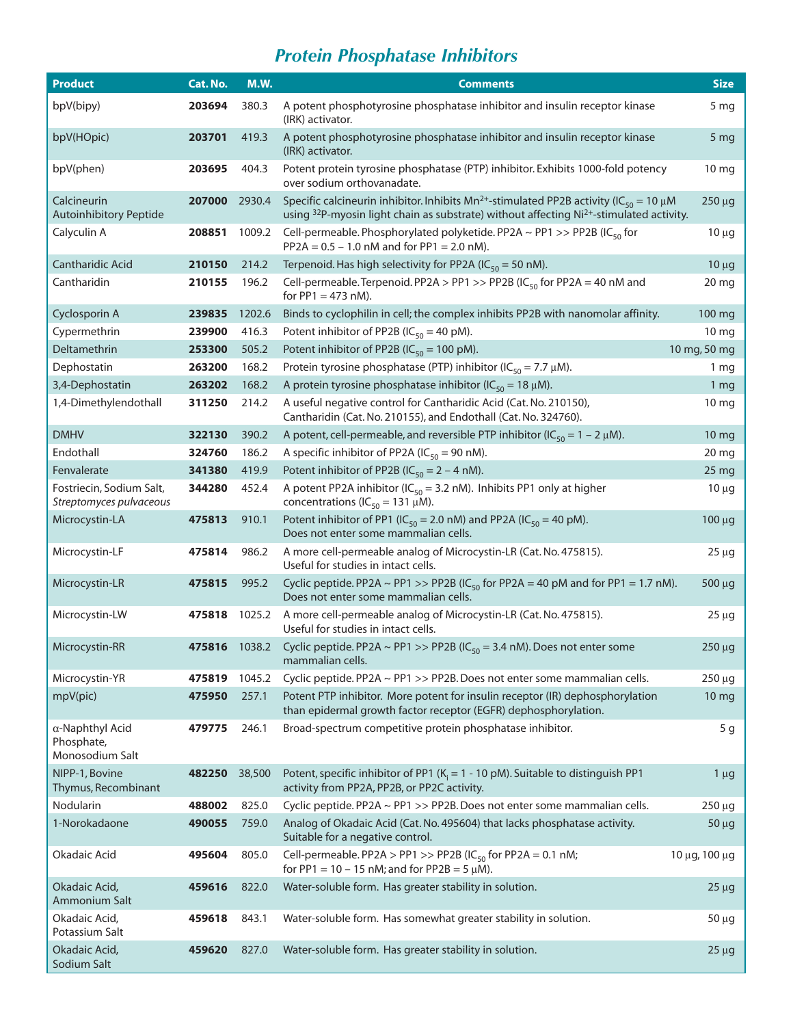# *Protein Phosphatase Inhibitors*

| <b>Product</b>                                           | Cat. No. | <b>M.W.</b> | <b>Comments</b>                                                                                                                                                                                                           | <b>Size</b>      |
|----------------------------------------------------------|----------|-------------|---------------------------------------------------------------------------------------------------------------------------------------------------------------------------------------------------------------------------|------------------|
| bpV(bipy)                                                | 203694   | 380.3       | A potent phosphotyrosine phosphatase inhibitor and insulin receptor kinase<br>(IRK) activator.                                                                                                                            | 5 <sub>mg</sub>  |
| bpV(HOpic)                                               | 203701   | 419.3       | A potent phosphotyrosine phosphatase inhibitor and insulin receptor kinase<br>(IRK) activator.                                                                                                                            | 5 <sub>mg</sub>  |
| bpV(phen)                                                | 203695   | 404.3       | Potent protein tyrosine phosphatase (PTP) inhibitor. Exhibits 1000-fold potency<br>over sodium orthovanadate.                                                                                                             | 10 mg            |
| Calcineurin<br><b>Autoinhibitory Peptide</b>             | 207000   | 2930.4      | Specific calcineurin inhibitor. Inhibits $Mn^{2+}$ -stimulated PP2B activity (IC <sub>50</sub> = 10 µM<br>using <sup>32</sup> P-myosin light chain as substrate) without affecting Ni <sup>2+</sup> -stimulated activity. | 250 µg           |
| Calyculin A                                              | 208851   | 1009.2      | Cell-permeable. Phosphorylated polyketide. PP2A ~ PP1 >> PP2B (IC <sub>50</sub> for<br>$PP2A = 0.5 - 1.0$ nM and for $PP1 = 2.0$ nM).                                                                                     | $10 \mu g$       |
| Cantharidic Acid                                         | 210150   | 214.2       | Terpenoid. Has high selectivity for PP2A (IC $_{50}$ = 50 nM).                                                                                                                                                            | $10 \mu g$       |
| Cantharidin                                              | 210155   | 196.2       | Cell-permeable. Terpenoid. PP2A > PP1 >> PP2B (IC <sub>50</sub> for PP2A = 40 nM and<br>for $PP1 = 473$ nM).                                                                                                              | 20 mg            |
| Cyclosporin A                                            | 239835   | 1202.6      | Binds to cyclophilin in cell; the complex inhibits PP2B with nanomolar affinity.                                                                                                                                          | 100 mg           |
| Cypermethrin                                             | 239900   | 416.3       | Potent inhibitor of PP2B ( $IC_{50} = 40$ pM).                                                                                                                                                                            | 10 mg            |
| Deltamethrin                                             | 253300   | 505.2       | Potent inhibitor of PP2B (IC <sub>50</sub> = 100 pM).                                                                                                                                                                     | 10 mg, 50 mg     |
| Dephostatin                                              | 263200   | 168.2       | Protein tyrosine phosphatase (PTP) inhibitor (IC <sub>50</sub> = 7.7 $\mu$ M).                                                                                                                                            | 1 <sub>mg</sub>  |
| 3,4-Dephostatin                                          | 263202   | 168.2       | A protein tyrosine phosphatase inhibitor (IC <sub>50</sub> = 18 $\mu$ M).                                                                                                                                                 | 1 mg             |
| 1,4-Dimethylendothall                                    | 311250   | 214.2       | A useful negative control for Cantharidic Acid (Cat. No. 210150),<br>Cantharidin (Cat. No. 210155), and Endothall (Cat. No. 324760).                                                                                      | 10 mg            |
| <b>DMHV</b>                                              | 322130   | 390.2       | A potent, cell-permeable, and reversible PTP inhibitor (IC <sub>50</sub> = 1 – 2 $\mu$ M).                                                                                                                                | 10 mg            |
| Endothall                                                | 324760   | 186.2       | A specific inhibitor of PP2A (IC <sub>50</sub> = 90 nM).                                                                                                                                                                  | 20 mg            |
| Fenvalerate                                              | 341380   | 419.9       | Potent inhibitor of PP2B ( $IC_{50} = 2 - 4$ nM).                                                                                                                                                                         | 25 mg            |
| Fostriecin, Sodium Salt,<br>Streptomyces pulvaceous      | 344280   | 452.4       | A potent PP2A inhibitor ( $IC_{50}$ = 3.2 nM). Inhibits PP1 only at higher<br>concentrations ( $IC_{50} = 131 \mu M$ ).                                                                                                   | $10 \mu g$       |
| Microcystin-LA                                           | 475813   | 910.1       | Potent inhibitor of PP1 (IC <sub>50</sub> = 2.0 nM) and PP2A (IC <sub>50</sub> = 40 pM).<br>Does not enter some mammalian cells.                                                                                          | 100 μg           |
| Microcystin-LF                                           | 475814   | 986.2       | A more cell-permeable analog of Microcystin-LR (Cat. No. 475815).<br>Useful for studies in intact cells.                                                                                                                  | $25 \mu g$       |
| Microcystin-LR                                           | 475815   | 995.2       | Cyclic peptide. PP2A ~ PP1 >> PP2B (IC <sub>50</sub> for PP2A = 40 pM and for PP1 = 1.7 nM).<br>Does not enter some mammalian cells.                                                                                      | 500 µg           |
| Microcystin-LW                                           | 475818   | 1025.2      | A more cell-permeable analog of Microcystin-LR (Cat. No. 475815).<br>Useful for studies in intact cells.                                                                                                                  | $25 \mu g$       |
| Microcystin-RR                                           | 475816   | 1038.2      | Cyclic peptide. PP2A ~ PP1 >> PP2B (IC <sub>50</sub> = 3.4 nM). Does not enter some<br>mammalian cells.                                                                                                                   | 250 µg           |
| Microcystin-YR                                           | 475819   | 1045.2      | Cyclic peptide. PP2A ~ PP1 >> PP2B. Does not enter some mammalian cells.                                                                                                                                                  | 250 µg           |
| mpV(pic)                                                 | 475950   | 257.1       | Potent PTP inhibitor. More potent for insulin receptor (IR) dephosphorylation<br>than epidermal growth factor receptor (EGFR) dephosphorylation.                                                                          | 10 <sub>mg</sub> |
| $\alpha$ -Naphthyl Acid<br>Phosphate,<br>Monosodium Salt | 479775   | 246.1       | Broad-spectrum competitive protein phosphatase inhibitor.                                                                                                                                                                 | 5 <sub>g</sub>   |
| NIPP-1, Bovine<br>Thymus, Recombinant                    | 482250   | 38,500      | Potent, specific inhibitor of PP1 ( $K_i = 1 - 10$ pM). Suitable to distinguish PP1<br>activity from PP2A, PP2B, or PP2C activity.                                                                                        | $1 \mu g$        |
| Nodularin                                                | 488002   | 825.0       | Cyclic peptide. PP2A $\sim$ PP1 >> PP2B. Does not enter some mammalian cells.                                                                                                                                             | 250 µg           |
| 1-Norokadaone                                            | 490055   | 759.0       | Analog of Okadaic Acid (Cat. No. 495604) that lacks phosphatase activity.<br>Suitable for a negative control.                                                                                                             | $50 \mu g$       |
| Okadaic Acid                                             | 495604   | 805.0       | Cell-permeable. PP2A > PP1 >> PP2B (IC <sub>50</sub> for PP2A = 0.1 nM;<br>for PP1 = 10 - 15 nM; and for PP2B = 5 $\mu$ M).                                                                                               | 10 μg, 100 μg    |
| Okadaic Acid,<br>Ammonium Salt                           | 459616   | 822.0       | Water-soluble form. Has greater stability in solution.                                                                                                                                                                    | $25 \mu g$       |
| Okadaic Acid,<br>Potassium Salt                          | 459618   | 843.1       | Water-soluble form. Has somewhat greater stability in solution.                                                                                                                                                           | $50 \mu g$       |
| Okadaic Acid,<br>Sodium Salt                             | 459620   | 827.0       | Water-soluble form. Has greater stability in solution.                                                                                                                                                                    | $25 \mu g$       |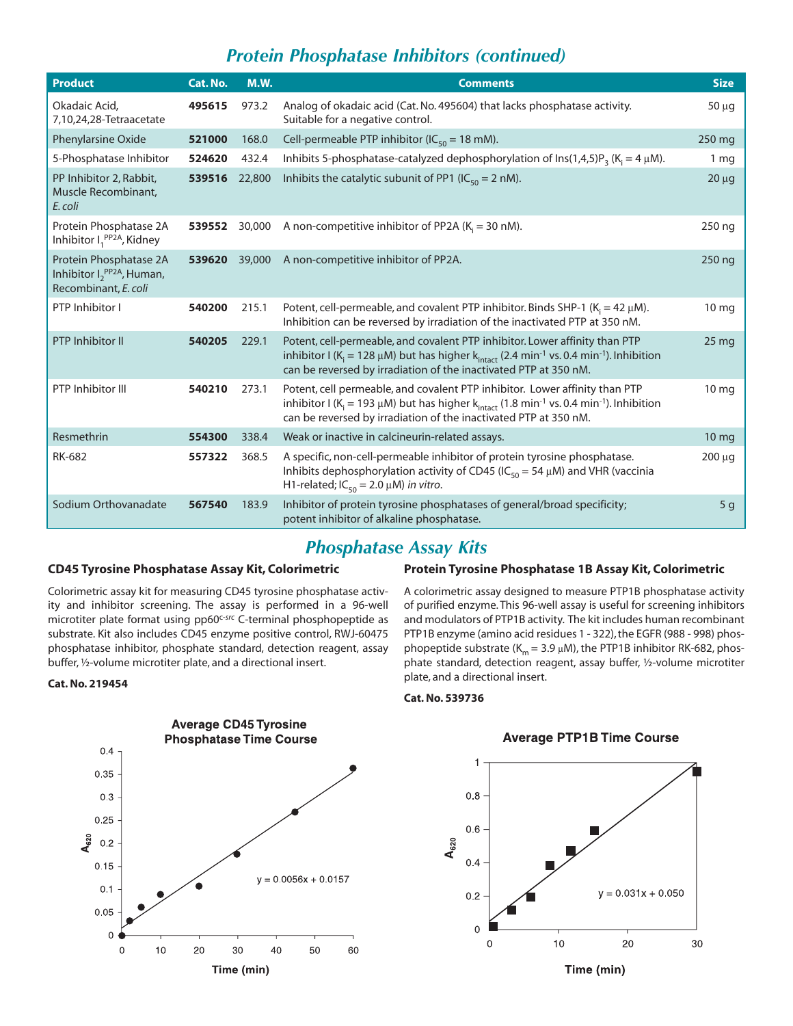### *Protein Phosphatase Inhibitors (continued)*

| <b>Product</b>                                                                    | Cat. No. | <b>M.W.</b> | <b>Comments</b>                                                                                                                                                                                                                                                                            | <b>Size</b>      |
|-----------------------------------------------------------------------------------|----------|-------------|--------------------------------------------------------------------------------------------------------------------------------------------------------------------------------------------------------------------------------------------------------------------------------------------|------------------|
| Okadaic Acid,<br>7,10,24,28-Tetraacetate                                          | 495615   | 973.2       | Analog of okadaic acid (Cat. No. 495604) that lacks phosphatase activity.<br>Suitable for a negative control.                                                                                                                                                                              | $50 \mu g$       |
| Phenylarsine Oxide                                                                | 521000   | 168.0       | Cell-permeable PTP inhibitor ( $IC_{50} = 18$ mM).                                                                                                                                                                                                                                         | 250 mg           |
| 5-Phosphatase Inhibitor                                                           | 524620   | 432.4       | Inhibits 5-phosphatase-catalyzed dephosphorylation of $\text{Ins}(1,4,5)P_3$ (K <sub>i</sub> = 4 $\mu$ M).                                                                                                                                                                                 | 1 <sub>mg</sub>  |
| PP Inhibitor 2, Rabbit,<br>Muscle Recombinant,<br>E. coli                         | 539516   | 22,800      | Inhibits the catalytic subunit of PP1 (IC <sub>50</sub> = 2 nM).                                                                                                                                                                                                                           | $20 \mu g$       |
| Protein Phosphatase 2A<br>Inhibitor $I_1^{PP2A}$ , Kidney                         | 539552   | 30,000      | A non-competitive inhibitor of PP2A ( $K_i$ = 30 nM).                                                                                                                                                                                                                                      | 250 ng           |
| Protein Phosphatase 2A<br>Inhibitor $I_2^{PP2A}$ , Human,<br>Recombinant, E. coli | 539620   | 39,000      | A non-competitive inhibitor of PP2A.                                                                                                                                                                                                                                                       | 250 ng           |
| PTP Inhibitor I                                                                   | 540200   | 215.1       | Potent, cell-permeable, and covalent PTP inhibitor. Binds SHP-1 ( $K_i = 42 \mu M$ ).<br>Inhibition can be reversed by irradiation of the inactivated PTP at 350 nM.                                                                                                                       | 10 <sub>mg</sub> |
| PTP Inhibitor II                                                                  | 540205   | 229.1       | Potent, cell-permeable, and covalent PTP inhibitor. Lower affinity than PTP<br>inhibitor I (K <sub>i</sub> = 128 µM) but has higher k <sub>intact</sub> (2.4 min <sup>-1</sup> vs. 0.4 min <sup>-1</sup> ). Inhibition<br>can be reversed by irradiation of the inactivated PTP at 350 nM. | 25 <sub>mg</sub> |
| PTP Inhibitor III                                                                 | 540210   | 273.1       | Potent, cell permeable, and covalent PTP inhibitor. Lower affinity than PTP<br>inhibitor I (K <sub>i</sub> = 193 µM) but has higher k <sub>intact</sub> (1.8 min <sup>-1</sup> vs. 0.4 min <sup>-1</sup> ). Inhibition<br>can be reversed by irradiation of the inactivated PTP at 350 nM. | 10 <sub>mg</sub> |
| Resmethrin                                                                        | 554300   | 338.4       | Weak or inactive in calcineurin-related assays.                                                                                                                                                                                                                                            | 10 mg            |
| <b>RK-682</b>                                                                     | 557322   | 368.5       | A specific, non-cell-permeable inhibitor of protein tyrosine phosphatase.<br>Inhibits dephosphorylation activity of CD45 (IC <sub>50</sub> = 54 $\mu$ M) and VHR (vaccinia<br>H1-related; $IC_{50} = 2.0 \mu M$ ) in vitro.                                                                | 200 µg           |
| Sodium Orthovanadate                                                              | 567540   | 183.9       | Inhibitor of protein tyrosine phosphatases of general/broad specificity;<br>potent inhibitor of alkaline phosphatase.                                                                                                                                                                      | 5 <sub>g</sub>   |

### *Phosphatase Assay Kits*

### **CD45 Tyrosine Phosphatase Assay Kit, Colorimetric**

Colorimetric assay kit for measuring CD45 tyrosine phosphatase activity and inhibitor screening. The assay is performed in a 96-well microtiter plate format using pp60c-*src* C-terminal phosphopeptide as substrate. Kit also includes CD45 enzyme positive control, RWJ-60475 phosphatase inhibitor, phosphate standard, detection reagent, assay buffer, ½-volume microtiter plate, and a directional insert.

#### **Cat. No. 219454**



### **Protein Tyrosine Phosphatase 1B Assay Kit, Colorimetric**

A colorimetric assay designed to measure PTP1B phosphatase activity of purified enzyme. This 96-well assay is useful for screening inhibitors and modulators of PTP1B activity. The kit includes human recombinant PTP1B enzyme (amino acid residues 1 - 322), the EGFR (988 - 998) phosphopeptide substrate ( $K_m = 3.9 \mu M$ ), the PTP1B inhibitor RK-682, phosphate standard, detection reagent, assay buffer, ½-volume microtiter plate, and a directional insert.

#### **Cat. No. 539736**



### **Average PTP1B Time Course**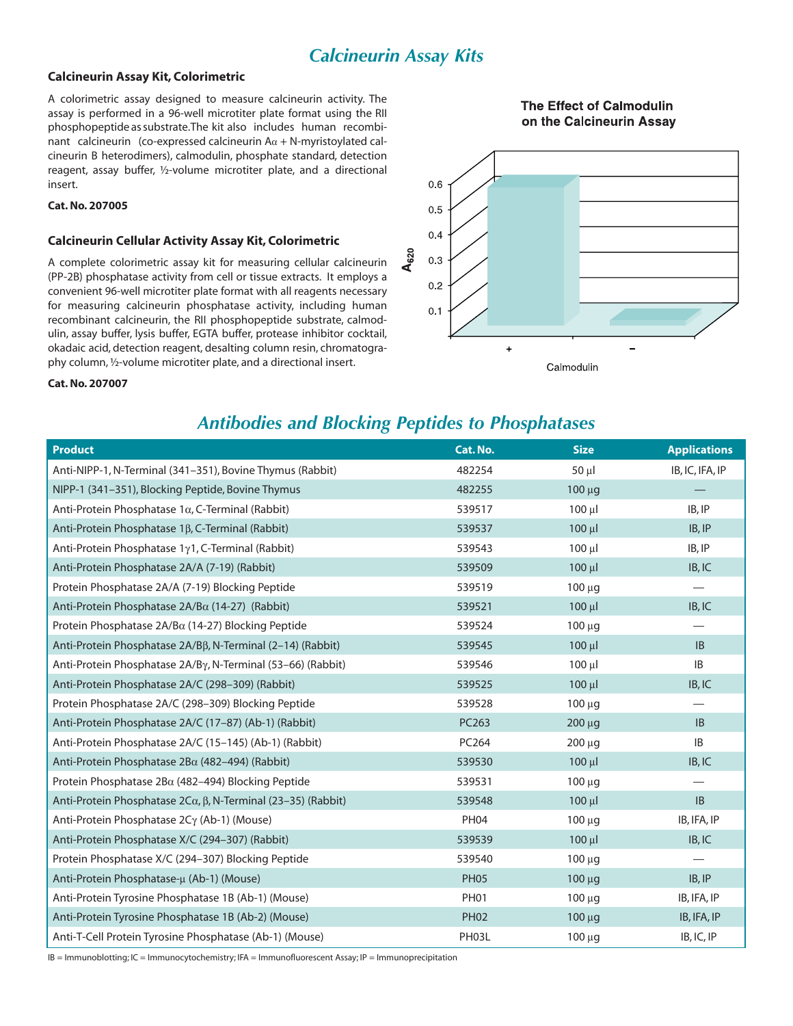### *Calcineurin Assay Kits*

### **Calcineurin Assay Kit, Colorimetric**

A colorimetric assay designed to measure calcineurin activity. The assay is performed in a 96-well microtiter plate format using the RII phosphopeptide as substrate.The kit also includes human recombinant calcineurin (co-expressed calcineurin  $A\alpha + N$ -myristoylated calcineurin B heterodimers), calmodulin, phosphate standard, detection reagent, assay buffer, ½-volume microtiter plate, and a directional insert.

### **Cat. No. 207005**

#### **Calcineurin Cellular Activity Assay Kit, Colorimetric**

A complete colorimetric assay kit for measuring cellular calcineurin (PP-2B) phosphatase activity from cell or tissue extracts. It employs a convenient 96-well microtiter plate format with all reagents necessary for measuring calcineurin phosphatase activity, including human recombinant calcineurin, the RII phosphopeptide substrate, calmodulin, assay buffer, lysis buffer, EGTA buffer, protease inhibitor cocktail, okadaic acid, detection reagent, desalting column resin, chromatography column, ½-volume microtiter plate, and a directional insert.



The Effect of Calmodulin

Calmodulin

#### **Cat. No. 207007**

### *Antibodies and Blocking Peptides to Phosphatases*

| <b>Product</b>                                               | Cat. No.    | <b>Size</b>       | <b>Applications</b>           |
|--------------------------------------------------------------|-------------|-------------------|-------------------------------|
| Anti-NIPP-1, N-Terminal (341-351), Bovine Thymus (Rabbit)    | 482254      | $50 \mu$          | IB, IC, IFA, IP               |
| NIPP-1 (341-351), Blocking Peptide, Bovine Thymus            | 482255      | $100 \mu g$       |                               |
| Anti-Protein Phosphatase 1α, C-Terminal (Rabbit)             | 539517      | $100 \mu$         | IB, IP                        |
| Anti-Protein Phosphatase 1β, C-Terminal (Rabbit)             | 539537      | $100 \mu l$       | IB, IP                        |
| Anti-Protein Phosphatase 1y1, C-Terminal (Rabbit)            | 539543      | $100$ $\mu$       | IB, IP                        |
| Anti-Protein Phosphatase 2A/A (7-19) (Rabbit)                | 539509      | $100 \mu$         | IB, IC                        |
| Protein Phosphatase 2A/A (7-19) Blocking Peptide             | 539519      | $100 \mu g$       |                               |
| Anti-Protein Phosphatase 2A/Βα (14-27) (Rabbit)              | 539521      | $100 \mu l$       | IB, IC                        |
| Protein Phosphatase 2A/Ba (14-27) Blocking Peptide           | 539524      | $100 \mu g$       | -                             |
| Anti-Protein Phosphatase 2A/Bβ, N-Terminal (2-14) (Rabbit)   | 539545      | $100 \mu l$       | IB                            |
| Anti-Protein Phosphatase 2A/By, N-Terminal (53-66) (Rabbit)  | 539546      | $100 \mu$         | IB                            |
| Anti-Protein Phosphatase 2A/C (298-309) (Rabbit)             | 539525      | $100 \mu l$       | IB, IC                        |
| Protein Phosphatase 2A/C (298-309) Blocking Peptide          | 539528      | 100 <sub>uq</sub> |                               |
| Anti-Protein Phosphatase 2A/C (17-87) (Ab-1) (Rabbit)        | PC263       | $200 \mu g$       | IB                            |
| Anti-Protein Phosphatase 2A/C (15-145) (Ab-1) (Rabbit)       | PC264       | $200 \mu g$       | $\sf IB$                      |
| Anti-Protein Phosphatase 2Βα (482-494) (Rabbit)              | 539530      | $100 \mu l$       | IB, IC                        |
| Protein Phosphatase $2B\alpha$ (482–494) Blocking Peptide    | 539531      | 100 μg            |                               |
| Anti-Protein Phosphatase 2Cα, β, N-Terminal (23-35) (Rabbit) | 539548      | $100$ $\mu$       | IB                            |
| Anti-Protein Phosphatase 2Cγ (Ab-1) (Mouse)                  | <b>PH04</b> | $100 \mu g$       | IB, IFA, IP                   |
| Anti-Protein Phosphatase X/C (294-307) (Rabbit)              | 539539      | $100 \mu l$       | IB, IC                        |
| Protein Phosphatase X/C (294-307) Blocking Peptide           | 539540      | $100 \mu g$       | $\overbrace{\phantom{12333}}$ |
| Anti-Protein Phosphatase-µ (Ab-1) (Mouse)                    | <b>PH05</b> | $100 \mu g$       | IB, IP                        |
| Anti-Protein Tyrosine Phosphatase 1B (Ab-1) (Mouse)          | <b>PH01</b> | $100 \mu g$       | IB, IFA, IP                   |
| Anti-Protein Tyrosine Phosphatase 1B (Ab-2) (Mouse)          | <b>PH02</b> | $100 \mu g$       | IB, IFA, IP                   |
| Anti-T-Cell Protein Tyrosine Phosphatase (Ab-1) (Mouse)      | PH03L       | 100 μg            | IB, IC, IP                    |

IB = Immunoblotting; IC = Immunocytochemistry; IFA = Immunofluorescent Assay; IP = Immunoprecipitation